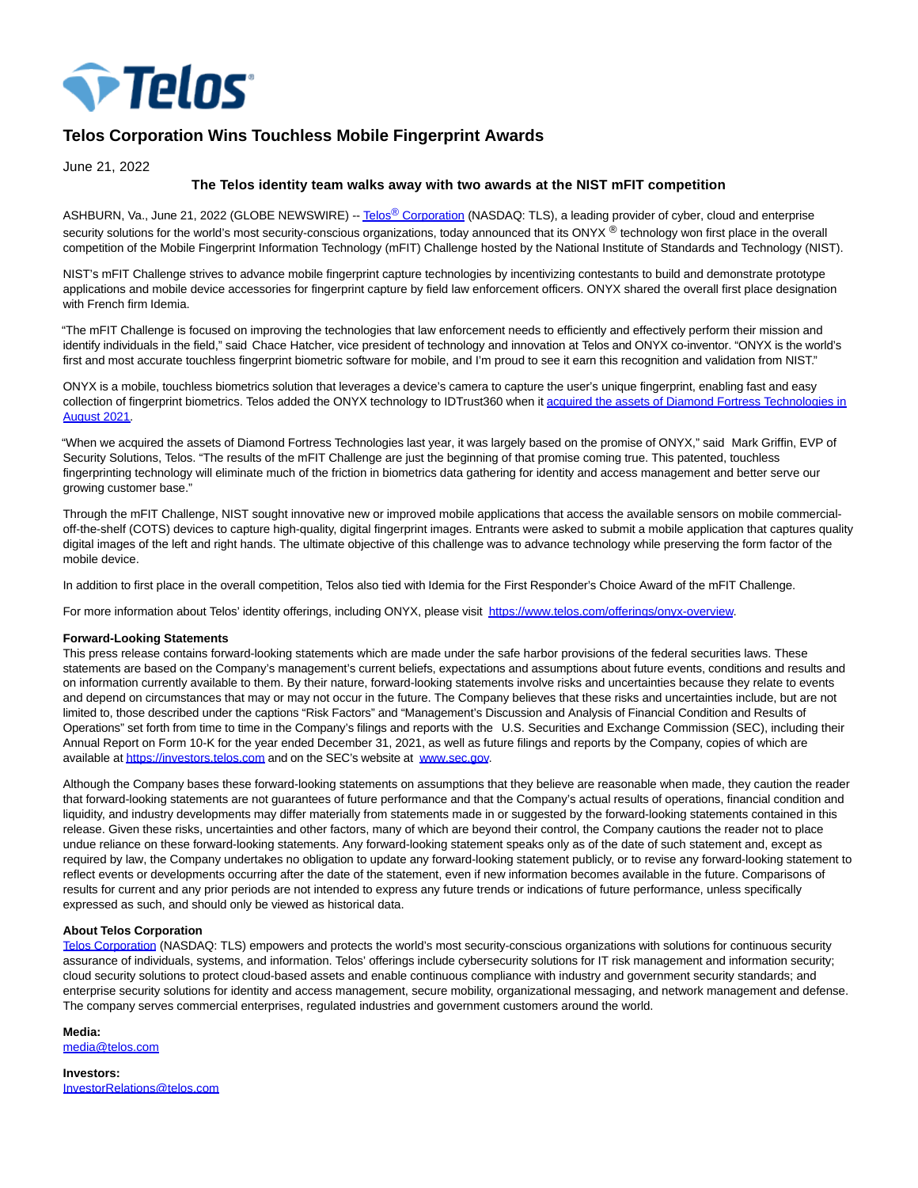

# **Telos Corporation Wins Touchless Mobile Fingerprint Awards**

June 21, 2022

## **The Telos identity team walks away with two awards at the NIST mFIT competition**

ASHBURN, Va., June 21, 2022 (GLOBE NEWSWIRE) -- Telos<sup>®</sup> [Corporation \(](https://www.globenewswire.com/Tracker?data=K88TYqf0SyPEDU0f7Yi4AF5NC77lEqM_-uczBebsJOa63pAJx3rucI1d1w8spOMlKT7EyiLfv2GS7NRdNsc1Zw==)NASDAQ: TLS), a leading provider of cyber, cloud and enterprise security solutions for the world's most security-conscious organizations, today announced that its ONYX ® technology won first place in the overall competition of the Mobile Fingerprint Information Technology (mFIT) Challenge hosted by the National Institute of Standards and Technology (NIST).

NIST's mFIT Challenge strives to advance mobile fingerprint capture technologies by incentivizing contestants to build and demonstrate prototype applications and mobile device accessories for fingerprint capture by field law enforcement officers. ONYX shared the overall first place designation with French firm Idemia.

"The mFIT Challenge is focused on improving the technologies that law enforcement needs to efficiently and effectively perform their mission and identify individuals in the field," said Chace Hatcher, vice president of technology and innovation at Telos and ONYX co-inventor. "ONYX is the world's first and most accurate touchless fingerprint biometric software for mobile, and I'm proud to see it earn this recognition and validation from NIST."

ONYX is a mobile, touchless biometrics solution that leverages a device's camera to capture the user's unique fingerprint, enabling fast and easy [collection of fingerprint biometrics. Telos added the ONYX technology to IDTrust360 when it acquired the assets of Diamond Fortress Technologies in](https://www.globenewswire.com/Tracker?data=Vx1lrTOs90j1O5M62jbwmqViol-wGKHIewvh5eTjzFSdlD_AvvJTBtZbGjVvlYWSw1teUTq2_ikO9WxNFxF1MIlXWQkngDdaCIAaGssSgiwNK2UCTrOepYyVEXYUpy11x0Pdry0rLrVghFNjtxtEaPwOmPG4B_jY77DgMPXegTKwwftMYX07c4gLOsk8nv0QQsAXXdITwN2GvxUKVQAwPDkXZ4wtr724FBhzpLHdwN8G8kgouoQkeoQBd7IZHYtwBJ1zWdMVuPKaWWJDX0htM6lDxqRuD2qr4V-jjldRt-UTAA6K4fmOslh_gJoXSmk8rk_jfzuT5u_y9iNyWwaY6A==) August 2021.

"When we acquired the assets of Diamond Fortress Technologies last year, it was largely based on the promise of ONYX," said Mark Griffin, EVP of Security Solutions, Telos. "The results of the mFIT Challenge are just the beginning of that promise coming true. This patented, touchless fingerprinting technology will eliminate much of the friction in biometrics data gathering for identity and access management and better serve our growing customer base."

Through the mFIT Challenge, NIST sought innovative new or improved mobile applications that access the available sensors on mobile commercialoff-the-shelf (COTS) devices to capture high-quality, digital fingerprint images. Entrants were asked to submit a mobile application that captures quality digital images of the left and right hands. The ultimate objective of this challenge was to advance technology while preserving the form factor of the mobile device.

In addition to first place in the overall competition, Telos also tied with Idemia for the First Responder's Choice Award of the mFIT Challenge.

For more information about Telos' identity offerings, including ONYX, please visit [https://www.telos.com/offerings/onyx-overview.](https://www.globenewswire.com/Tracker?data=xM5iMzoUYg8vUDLB_JqHWdmT27rlcStD_AlZc8SI4lmb7oYj97FVt6iajK1DAF24fETujsFvcAeNTpVz3kr9VfasBlxnSUTJ6_30BrwM6_RLC0IWHYRU_BHB2_O622vB0Ka-JKvz5576GroV1iHFwQ==)

### **Forward-Looking Statements**

This press release contains forward-looking statements which are made under the safe harbor provisions of the federal securities laws. These statements are based on the Company's management's current beliefs, expectations and assumptions about future events, conditions and results and on information currently available to them. By their nature, forward-looking statements involve risks and uncertainties because they relate to events and depend on circumstances that may or may not occur in the future. The Company believes that these risks and uncertainties include, but are not limited to, those described under the captions "Risk Factors" and "Management's Discussion and Analysis of Financial Condition and Results of Operations" set forth from time to time in the Company's filings and reports with the U.S. Securities and Exchange Commission (SEC), including their Annual Report on Form 10-K for the year ended December 31, 2021, as well as future filings and reports by the Company, copies of which are available a[t https://investors.telos.com a](https://www.globenewswire.com/Tracker?data=xM5iMzoUYg8vUDLB_JqHWeLHvD2RdJKfCmk8YhbFKQHnzvpseLwQBLXRCwHvJaQrLwaQjKmKx1hNGX3cnSi7IvfdMkhjnGfzaJm4TOEQgTk=)nd on the SEC's website at [www.sec.gov.](https://www.globenewswire.com/Tracker?data=ILP-SpMF8P78P7QJtaCTCbZWuswOXuD7t89nLfgOuAeDxo5sRzVoOQ72qze39M4fQeEjTJR20dOyibGN03w3jQ==)

Although the Company bases these forward-looking statements on assumptions that they believe are reasonable when made, they caution the reader that forward-looking statements are not guarantees of future performance and that the Company's actual results of operations, financial condition and liquidity, and industry developments may differ materially from statements made in or suggested by the forward-looking statements contained in this release. Given these risks, uncertainties and other factors, many of which are beyond their control, the Company cautions the reader not to place undue reliance on these forward-looking statements. Any forward-looking statement speaks only as of the date of such statement and, except as required by law, the Company undertakes no obligation to update any forward-looking statement publicly, or to revise any forward-looking statement to reflect events or developments occurring after the date of the statement, even if new information becomes available in the future. Comparisons of results for current and any prior periods are not intended to express any future trends or indications of future performance, unless specifically expressed as such, and should only be viewed as historical data.

### **About Telos Corporation**

[Telos Corporation \(](https://www.globenewswire.com/Tracker?data=w4FKHePbHwz_OwasNmAkXCFvrme1K4RJjBs74Ia_Ra8zpKriSROVSkFevVQWqUieQ5J3eSyDiEuIOoByhIAKaw==)NASDAQ: TLS) empowers and protects the world's most security-conscious organizations with solutions for continuous security assurance of individuals, systems, and information. Telos' offerings include cybersecurity solutions for IT risk management and information security; cloud security solutions to protect cloud-based assets and enable continuous compliance with industry and government security standards; and enterprise security solutions for identity and access management, secure mobility, organizational messaging, and network management and defense. The company serves commercial enterprises, regulated industries and government customers around the world.

### **Media:**

[media@telos.com](https://www.globenewswire.com/Tracker?data=PUgn-sE67Rfe8GDuCLG7dkm9L9HcI1FfBlQK6hhUypzN388B2Op1Fggs6vekmEdZpS9mti2vC2VC5xNugqKayg==)

**Investors:** [InvestorRelations@telos.com](https://www.globenewswire.com/Tracker?data=dVGaiyE6VC4FLWqrftEveCX5Wej3B-13Xh1msaBEwQ82fqy7-TVSHS-sheNsZ54d12UwF3CVjrODpEQj-cxHsFaa3ifF9Q-UGlu7VH1Y_aoFCCTmcTzJ-NXhN7XXelAm)